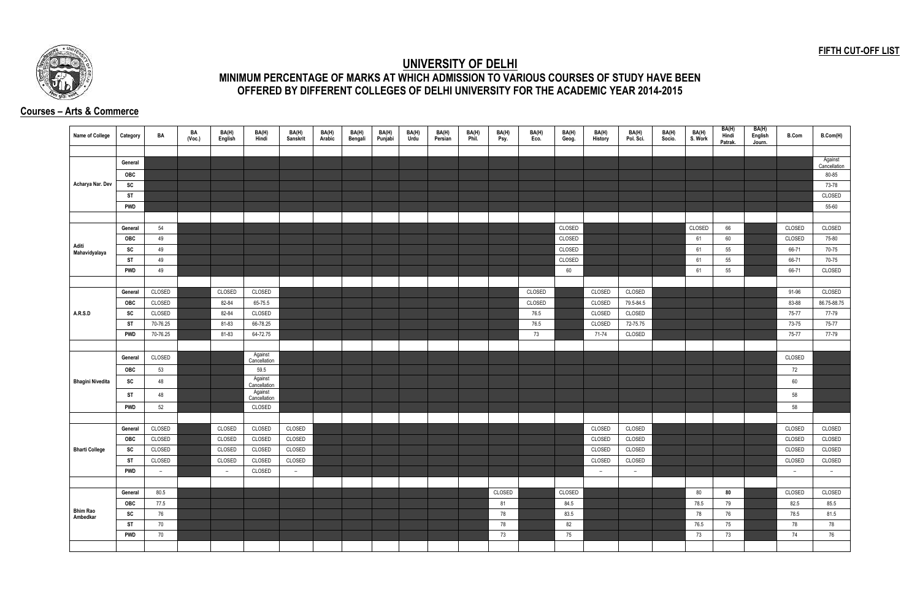## **FIFTH CUT-OFF LIST**



## **UNIVERSITY OF DELHI MINIMUM PERCENTAGE OF MARKS AT WHICH ADMISSION TO VARIOUS COURSES OF STUDY HAVE BEEN OFFERED BY DIFFERENT COLLEGES OF DELHI UNIVERSITY FOR THE ACADEMIC YEAR 2014-2015**

## **Courses – Arts & Commerce**

| Name of College         | Category   | BA       | BA<br>(Voc.) | BA(H)<br>English | BA(H)<br>Hindi          | BA(H)<br>Sanskrit | BA(H)<br>Arabic | BA(H)<br>Bengali | BA(H)<br>Punjabi | BA(H)<br>Urdu | BA(H)<br>Persian | BA(H)<br>Phil. | BA(H)<br>Psy. | BA(H)<br>Eco. | BA(H)<br>Geog. | BA(H)<br><b>History</b> | BA(H)<br>Pol. Sci. | BA(H)<br>Socio. | BA(H)<br>S. Work | BA(H)<br>Hindi<br>Patrak. | BA(H)<br>English<br>Journ. | <b>B.Com</b> | B.Com(H)                |
|-------------------------|------------|----------|--------------|------------------|-------------------------|-------------------|-----------------|------------------|------------------|---------------|------------------|----------------|---------------|---------------|----------------|-------------------------|--------------------|-----------------|------------------|---------------------------|----------------------------|--------------|-------------------------|
|                         |            |          |              |                  |                         |                   |                 |                  |                  |               |                  |                |               |               |                |                         |                    |                 |                  |                           |                            |              |                         |
|                         | General    |          |              |                  |                         |                   |                 |                  |                  |               |                  |                |               |               |                |                         |                    |                 |                  |                           |                            |              | Against<br>Cancellation |
|                         | OBC        |          |              |                  |                         |                   |                 |                  |                  |               |                  |                |               |               |                |                         |                    |                 |                  |                           |                            |              | 80-85                   |
| Acharya Nar. Dev        | SC         |          |              |                  |                         |                   |                 |                  |                  |               |                  |                |               |               |                |                         |                    |                 |                  |                           |                            |              | 73-78                   |
|                         | ST         |          |              |                  |                         |                   |                 |                  |                  |               |                  |                |               |               |                |                         |                    |                 |                  |                           |                            |              | CLOSED                  |
|                         | <b>PWD</b> |          |              |                  |                         |                   |                 |                  |                  |               |                  |                |               |               |                |                         |                    |                 |                  |                           |                            |              | 55-60                   |
|                         |            |          |              |                  |                         |                   |                 |                  |                  |               |                  |                |               |               |                |                         |                    |                 |                  |                           |                            |              |                         |
|                         | General    | 54       |              |                  |                         |                   |                 |                  |                  |               |                  |                |               |               | CLOSED         |                         |                    |                 | CLOSED           | 66                        |                            | CLOSED       | CLOSED                  |
|                         | OBC        | 49       |              |                  |                         |                   |                 |                  |                  |               |                  |                |               |               | CLOSED         |                         |                    |                 | 61               | 60                        |                            | CLOSED       | 75-80                   |
| Aditi<br>Mahavidyalaya  | SC         | 49       |              |                  |                         |                   |                 |                  |                  |               |                  |                |               |               | CLOSED         |                         |                    |                 | 61               | 55                        |                            | 66-71        | 70-75                   |
|                         | <b>ST</b>  | 49       |              |                  |                         |                   |                 |                  |                  |               |                  |                |               |               | CLOSED         |                         |                    |                 | 61               | 55                        |                            | 66-71        | 70-75                   |
|                         | <b>PWD</b> | 49       |              |                  |                         |                   |                 |                  |                  |               |                  |                |               |               | 60             |                         |                    |                 | 61               | 55                        |                            | 66-71        | CLOSED                  |
|                         |            |          |              |                  |                         |                   |                 |                  |                  |               |                  |                |               |               |                |                         |                    |                 |                  |                           |                            |              |                         |
|                         | General    | CLOSED   |              | CLOSED           | CLOSED                  |                   |                 |                  |                  |               |                  |                |               | CLOSED        |                | CLOSED                  | CLOSED             |                 |                  |                           |                            | 91-96        | CLOSED                  |
|                         | OBC        | CLOSED   |              | 82-84            | 65-75.5                 |                   |                 |                  |                  |               |                  |                |               | CLOSED        |                | CLOSED                  | 79.5-84.5          |                 |                  |                           |                            | 83-88        | 86.75-88.75             |
| A.R.S.D                 | SC         | CLOSED   |              | 82-84            | CLOSED                  |                   |                 |                  |                  |               |                  |                |               | 76.5          |                | CLOSED                  | CLOSED             |                 |                  |                           |                            | 75-77        | 77-79                   |
|                         | <b>ST</b>  | 70-76.25 |              | 81-83            | 66-78.25                |                   |                 |                  |                  |               |                  |                |               | 76.5          |                | CLOSED                  | 72-75.75           |                 |                  |                           |                            | 73-75        | 75-77                   |
|                         | <b>PWD</b> | 70-76.25 |              | 81-83            | 64-72.75                |                   |                 |                  |                  |               |                  |                |               | 73            |                | 71-74                   | CLOSED             |                 |                  |                           |                            | 75-77        | 77-79                   |
|                         |            |          |              |                  |                         |                   |                 |                  |                  |               |                  |                |               |               |                |                         |                    |                 |                  |                           |                            |              |                         |
|                         | General    | CLOSED   |              |                  | Against<br>Cancellation |                   |                 |                  |                  |               |                  |                |               |               |                |                         |                    |                 |                  |                           |                            | CLOSED       |                         |
|                         | OBC        | 53       |              |                  | 59.5                    |                   |                 |                  |                  |               |                  |                |               |               |                |                         |                    |                 |                  |                           |                            | 72           |                         |
| <b>Bhagini Nivedita</b> | SC         | 48       |              |                  | Against                 |                   |                 |                  |                  |               |                  |                |               |               |                |                         |                    |                 |                  |                           |                            | 60           |                         |
|                         |            |          |              |                  | Cancellation<br>Against |                   |                 |                  |                  |               |                  |                |               |               |                |                         |                    |                 |                  |                           |                            |              |                         |
|                         | ST         | 48       |              |                  | Cancellation            |                   |                 |                  |                  |               |                  |                |               |               |                |                         |                    |                 |                  |                           |                            | 58           |                         |
|                         | <b>PWD</b> | 52       |              |                  | CLOSED                  |                   |                 |                  |                  |               |                  |                |               |               |                |                         |                    |                 |                  |                           |                            | 58           |                         |
|                         |            |          |              |                  |                         |                   |                 |                  |                  |               |                  |                |               |               |                |                         |                    |                 |                  |                           |                            |              |                         |
|                         | General    | CLOSED   |              | CLOSED           | CLOSED                  | CLOSED            |                 |                  |                  |               |                  |                |               |               |                | CLOSED                  | CLOSED             |                 |                  |                           |                            | CLOSED       | CLOSED                  |
|                         | OBC        | CLOSED   |              | CLOSED           | CLOSED                  | CLOSED            |                 |                  |                  |               |                  |                |               |               |                | CLOSED                  | CLOSED             |                 |                  |                           |                            | CLOSED       | CLOSED                  |
| <b>Bharti College</b>   | SC         | CLOSED   |              | CLOSED           | CLOSED                  | CLOSED            |                 |                  |                  |               |                  |                |               |               |                | CLOSED                  | CLOSED             |                 |                  |                           |                            | CLOSED       | CLOSED                  |
|                         | <b>ST</b>  | CLOSED   |              | CLOSED           | CLOSED                  | CLOSED            |                 |                  |                  |               |                  |                |               |               |                | CLOSED                  | CLOSED             |                 |                  |                           |                            | CLOSED       | CLOSED                  |
|                         | <b>PWD</b> | $\sim$   |              | $\overline{a}$   | CLOSED                  | $ \,$             |                 |                  |                  |               |                  |                |               |               |                | $\sim$                  | $\sim$             |                 |                  |                           |                            | $ \,$        | $ \,$                   |
|                         |            |          |              |                  |                         |                   |                 |                  |                  |               |                  |                |               |               |                |                         |                    |                 |                  |                           |                            |              |                         |
|                         | General    | 80.5     |              |                  |                         |                   |                 |                  |                  |               |                  |                | CLOSED        |               | CLOSED         |                         |                    |                 | 80               | 80                        |                            | CLOSED       | CLOSED                  |
| <b>Bhim Rao</b>         | OBC        | 77.5     |              |                  |                         |                   |                 |                  |                  |               |                  |                | 81            |               | 84.5           |                         |                    |                 | 78.5             | 79                        |                            | 82.5         | 85.5                    |
| Ambedkar                | SC         | 76       |              |                  |                         |                   |                 |                  |                  |               |                  |                | 78            |               | 83.5           |                         |                    |                 | 78               | 76                        |                            | 78.5         | 81.5                    |
|                         | <b>ST</b>  | 70       |              |                  |                         |                   |                 |                  |                  |               |                  |                | 78            |               | 82             |                         |                    |                 | 76.5             | 75                        |                            | 78           | 78                      |
|                         | <b>PWD</b> | 70       |              |                  |                         |                   |                 |                  |                  |               |                  |                | 73            |               | 75             |                         |                    |                 | 73               | 73                        |                            | 74           | 76                      |
|                         |            |          |              |                  |                         |                   |                 |                  |                  |               |                  |                |               |               |                |                         |                    |                 |                  |                           |                            |              |                         |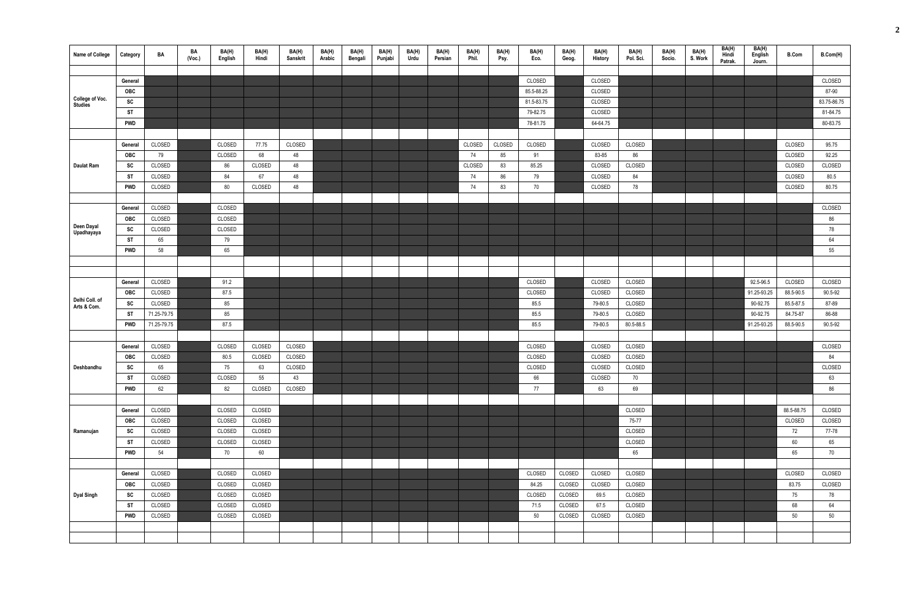| Name of College               | Category                | BA               | BA<br>(Vec.) | BA(H)<br>English | BA(H)<br>Hindi   | BA(H)<br>Sanskrit | BA(H)<br>Arabic | BA(H)<br>Bengali | BA(H)<br>Punjabi | BA(H)<br>Urdu | BA(H)<br>Persian | BA(H)<br>Phil. | BA(H)<br>Psy. | BA(H)<br>Eco.        | BA(H)<br>Geog.   | BA(H)<br>History   | BA(H)<br>Pol. Sci. | BA(H)<br>Socio. | BA(H)<br>S. Work | BA(H)<br>Hindi<br>Patrak. | BA(H)<br>English<br>Journ. | <b>B.Com</b> | B.Com(H)             |
|-------------------------------|-------------------------|------------------|--------------|------------------|------------------|-------------------|-----------------|------------------|------------------|---------------|------------------|----------------|---------------|----------------------|------------------|--------------------|--------------------|-----------------|------------------|---------------------------|----------------------------|--------------|----------------------|
|                               |                         |                  |              |                  |                  |                   |                 |                  |                  |               |                  |                |               |                      |                  |                    |                    |                 |                  |                           |                            |              |                      |
|                               | General                 |                  |              |                  |                  |                   |                 |                  |                  |               |                  |                |               | CLOSED               |                  | CLOSED             |                    |                 |                  |                           |                            |              | CLOSED               |
| College of Voc.               | OBC                     |                  |              |                  |                  |                   |                 |                  |                  |               |                  |                |               | 85.5-88.25           |                  | CLOSED             |                    |                 |                  |                           |                            |              | 87-90                |
| <b>Studies</b>                | SC                      |                  |              |                  |                  |                   |                 |                  |                  |               |                  |                |               | 81.5-83.75           |                  | CLOSED             |                    |                 |                  |                           |                            |              | 83.75-86.75          |
|                               | <b>ST</b><br><b>PWD</b> |                  |              |                  |                  |                   |                 |                  |                  |               |                  |                |               | 79-82.75<br>78-81.75 |                  | CLOSED<br>64-64.75 |                    |                 |                  |                           |                            |              | 81-84.75<br>80-83.75 |
|                               |                         |                  |              |                  |                  |                   |                 |                  |                  |               |                  |                |               |                      |                  |                    |                    |                 |                  |                           |                            |              |                      |
|                               | General                 | CLOSED           |              | CLOSED           | 77.75            | CLOSED            |                 |                  |                  |               |                  | CLOSED         | CLOSED        | CLOSED               |                  | CLOSED             | CLOSED             |                 |                  |                           |                            | CLOSED       | 95.75                |
|                               | <b>OBC</b>              | 79               |              | CLOSED           | 68               | 48                |                 |                  |                  |               |                  | 74             | 85            | 91                   |                  | 83-85              | 86                 |                 |                  |                           |                            | CLOSED       | 92.25                |
| <b>Daulat Ram</b>             | SC                      | CLOSED           |              | 86               | CLOSED           | 48                |                 |                  |                  |               |                  | CLOSED         | 83            | 85.25                |                  | CLOSED             | CLOSED             |                 |                  |                           |                            | CLOSED       | CLOSED               |
|                               | <b>ST</b>               | CLOSED           |              | 84               | 67               | 48                |                 |                  |                  |               |                  | 74             | 86            | 79                   |                  | CLOSED             | 84                 |                 |                  |                           |                            | CLOSED       | 80.5                 |
|                               | <b>PWD</b>              | CLOSED           |              | 80               | CLOSED           | 48                |                 |                  |                  |               |                  | 74             | 83            | 70                   |                  | CLOSED             | 78                 |                 |                  |                           |                            | CLOSED       | 80.75                |
|                               |                         |                  |              |                  |                  |                   |                 |                  |                  |               |                  |                |               |                      |                  |                    |                    |                 |                  |                           |                            |              |                      |
|                               | General                 | CLOSED           |              | CLOSED           |                  |                   |                 |                  |                  |               |                  |                |               |                      |                  |                    |                    |                 |                  |                           |                            |              | CLOSED               |
|                               | OBC                     | CLOSED           |              | CLOSED           |                  |                   |                 |                  |                  |               |                  |                |               |                      |                  |                    |                    |                 |                  |                           |                            |              | 86                   |
| Deen Dayal                    | SC                      | CLOSED           |              | CLOSED           |                  |                   |                 |                  |                  |               |                  |                |               |                      |                  |                    |                    |                 |                  |                           |                            |              | 78                   |
| Upadhayaya                    | <b>ST</b>               | 65               |              | 79               |                  |                   |                 |                  |                  |               |                  |                |               |                      |                  |                    |                    |                 |                  |                           |                            |              | 64                   |
|                               | <b>PWD</b>              | 58               |              | 65               |                  |                   |                 |                  |                  |               |                  |                |               |                      |                  |                    |                    |                 |                  |                           |                            |              | 55                   |
|                               |                         |                  |              |                  |                  |                   |                 |                  |                  |               |                  |                |               |                      |                  |                    |                    |                 |                  |                           |                            |              |                      |
|                               |                         |                  |              |                  |                  |                   |                 |                  |                  |               |                  |                |               |                      |                  |                    |                    |                 |                  |                           |                            |              |                      |
|                               | General                 | CLOSED           |              | 91.2             |                  |                   |                 |                  |                  |               |                  |                |               | CLOSED               |                  | CLOSED             | CLOSED             |                 |                  |                           | 92.5-96.5                  | CLOSED       | CLOSED               |
|                               | <b>OBC</b>              | CLOSED           |              | 87.5             |                  |                   |                 |                  |                  |               |                  |                |               | CLOSED               |                  | CLOSED             | CLOSED             |                 |                  |                           | 91.25-93.25                | 88.5-90.5    | 90.5-92              |
| Delhi Coll. of<br>Arts & Com. | <b>SC</b>               | CLOSED           |              | 85               |                  |                   |                 |                  |                  |               |                  |                |               | 85.5                 |                  | 79-80.5            | CLOSED             |                 |                  |                           | 90-92.75                   | 85.5-87.5    | 87-89                |
|                               | <b>ST</b>               | 71.25-79.75      |              | 85               |                  |                   |                 |                  |                  |               |                  |                |               | 85.5                 |                  | 79-80.5            | CLOSED             |                 |                  |                           | 90-92.75                   | 84.75-87     | 86-88                |
|                               | <b>PWD</b>              | 71.25-79.75      |              | 87.5             |                  |                   |                 |                  |                  |               |                  |                |               | 85.5                 |                  | 79-80.5            | 80.5-88.5          |                 |                  |                           | 91.25-93.25                | 88.5-90.5    | 90.5-92              |
|                               |                         |                  |              |                  |                  |                   |                 |                  |                  |               |                  |                |               |                      |                  |                    |                    |                 |                  |                           |                            |              |                      |
|                               | General                 | CLOSED           |              | CLOSED           | CLOSED           | CLOSED            |                 |                  |                  |               |                  |                |               | CLOSED               |                  | <b>CLOSED</b>      | CLOSED             |                 |                  |                           |                            |              | CLOSED               |
|                               | <b>OBC</b>              | CLOSED           |              | 80.5             | CLOSED           | CLOSED            |                 |                  |                  |               |                  |                |               | CLOSED               |                  | CLOSED             | CLOSED             |                 |                  |                           |                            |              | 84                   |
| Deshbandhu                    | SC                      | 65               |              | 75               | 63               | CLOSED            |                 |                  |                  |               |                  |                |               | CLOSED               |                  | CLOSED             | CLOSED             |                 |                  |                           |                            |              | CLOSED               |
|                               | <b>ST</b>               | CLOSED           |              | CLOSED           | 55               | 43                |                 |                  |                  |               |                  |                |               | 66                   |                  | CLOSED             | 70                 |                 |                  |                           |                            |              | 63                   |
|                               | <b>PWD</b>              | 62               |              | 82               | CLOSED           | CLOSED            |                 |                  |                  |               |                  |                |               | 77                   |                  | 63                 | 69                 |                 |                  |                           |                            |              | 86                   |
|                               |                         |                  |              |                  |                  |                   |                 |                  |                  |               |                  |                |               |                      |                  |                    |                    |                 |                  |                           |                            |              |                      |
|                               | General                 | CLOSED           |              | CLOSED           | CLOSED           |                   |                 |                  |                  |               |                  |                |               |                      |                  |                    | CLOSED             |                 |                  |                           |                            | 88.5-88.75   | CLOSED               |
|                               | <b>OBC</b>              | CLOSED           |              | CLOSED           | CLOSED           |                   |                 |                  |                  |               |                  |                |               |                      |                  |                    | 75-77              |                 |                  |                           |                            | CLOSED       | CLOSED               |
| Ramanujan                     | SC                      | CLOSED           |              | CLOSED           | CLOSED           |                   |                 |                  |                  |               |                  |                |               |                      |                  |                    | CLOSED             |                 |                  |                           |                            | 72           | 77-78                |
|                               | <b>ST</b>               | CLOSED           |              | CLOSED           | CLOSED           |                   |                 |                  |                  |               |                  |                |               |                      |                  |                    | CLOSED             |                 |                  |                           |                            | 60           | 65                   |
|                               | PWD                     | 54               |              | 70               | 60               |                   |                 |                  |                  |               |                  |                |               |                      |                  |                    | 65                 |                 |                  |                           |                            | 65           | 70                   |
|                               |                         |                  |              |                  |                  |                   |                 |                  |                  |               |                  |                |               |                      |                  |                    |                    |                 |                  |                           |                            |              |                      |
|                               | General                 | CLOSED<br>CLOSED |              | CLOSED           | CLOSED<br>CLOSED |                   |                 |                  |                  |               |                  |                |               | CLOSED<br>84.25      | CLOSED           | CLOSED             | CLOSED<br>CLOSED   |                 |                  |                           |                            | CLOSED       | CLOSED<br>CLOSED     |
|                               | <b>OBC</b>              |                  |              | CLOSED<br>CLOSED | CLOSED           |                   |                 |                  |                  |               |                  |                |               | CLOSED               | CLOSED<br>CLOSED | CLOSED<br>69.5     | CLOSED             |                 |                  |                           |                            | 83.75        |                      |
| <b>Dyal Singh</b>             | SC<br><b>ST</b>         | CLOSED<br>CLOSED |              | CLOSED           | CLOSED           |                   |                 |                  |                  |               |                  |                |               | 71.5                 | CLOSED           | 67.5               | CLOSED             |                 |                  |                           |                            | 75<br>68     | 78<br>64             |
|                               | <b>PWD</b>              | CLOSED           |              | CLOSED           | CLOSED           |                   |                 |                  |                  |               |                  |                |               | 50                   | CLOSED           | CLOSED             | CLOSED             |                 |                  |                           |                            | 50           | 50                   |
|                               |                         |                  |              |                  |                  |                   |                 |                  |                  |               |                  |                |               |                      |                  |                    |                    |                 |                  |                           |                            |              |                      |
|                               |                         |                  |              |                  |                  |                   |                 |                  |                  |               |                  |                |               |                      |                  |                    |                    |                 |                  |                           |                            |              |                      |
|                               |                         |                  |              |                  |                  |                   |                 |                  |                  |               |                  |                |               |                      |                  |                    |                    |                 |                  |                           |                            |              |                      |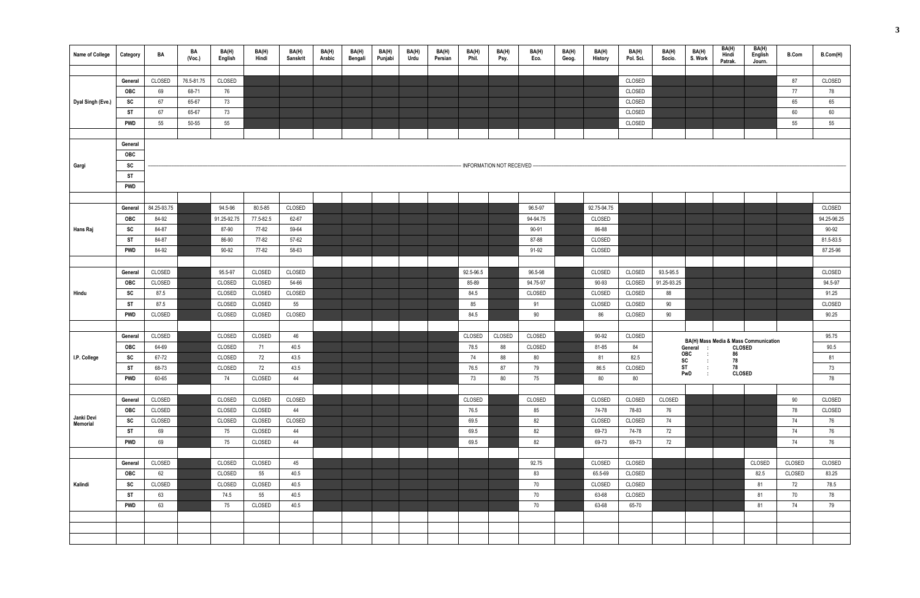| Name of College   | Category              | BA             | BA<br>(Voc.) | BA(H)<br>English | BA(H)<br>Hindi   | BA(H)<br>Sanskrit | BA(H)<br>Arabic | BA(H)<br>Bengali | BA(H)<br>Punjabi | BA(H)<br>Urdu | BA(H)<br>Persian | BA(H)<br>Phil. | BA(H)<br>Psy.                | BA(H)<br>Eco.      | BA(H)<br>Geog. | BA(H)<br>History | BA(H)<br>Pol. Sci. | BA(H)<br>Socio.          | BA(H)<br>S. Work                                  | BA(H)<br>Hindi | BA(H)<br>English                      | <b>B.Com</b> | B.Com(H)          |
|-------------------|-----------------------|----------------|--------------|------------------|------------------|-------------------|-----------------|------------------|------------------|---------------|------------------|----------------|------------------------------|--------------------|----------------|------------------|--------------------|--------------------------|---------------------------------------------------|----------------|---------------------------------------|--------------|-------------------|
|                   |                       |                |              |                  |                  |                   |                 |                  |                  |               |                  |                |                              |                    |                |                  |                    |                          |                                                   | Patrak.        | Journ.                                |              |                   |
|                   | General               | CLOSED         | 76.5-81.75   | CLOSED           |                  |                   |                 |                  |                  |               |                  |                |                              |                    |                |                  | CLOSED             |                          |                                                   |                |                                       | 87           | CLOSED            |
|                   | <b>OBC</b>            | 69             | 68-71        | 76               |                  |                   |                 |                  |                  |               |                  |                |                              |                    |                |                  | CLOSED             |                          |                                                   |                |                                       | 77           | 78                |
| Dyal Singh (Eve.) | SC                    | 67             | 65-67        | 73               |                  |                   |                 |                  |                  |               |                  |                |                              |                    |                |                  | CLOSED             |                          |                                                   |                |                                       | 65           | 65                |
|                   | <b>ST</b>             | 67             | 65-67        | 73               |                  |                   |                 |                  |                  |               |                  |                |                              |                    |                |                  | CLOSED             |                          |                                                   |                |                                       | 60           | 60                |
|                   | <b>PWD</b>            | 55             | 50-55        | 55               |                  |                   |                 |                  |                  |               |                  |                |                              |                    |                |                  | CLOSED             |                          |                                                   |                |                                       | 55           | 55                |
|                   |                       |                |              |                  |                  |                   |                 |                  |                  |               |                  |                |                              |                    |                |                  |                    |                          |                                                   |                |                                       |              |                   |
|                   | General               |                |              |                  |                  |                   |                 |                  |                  |               |                  |                |                              |                    |                |                  |                    |                          |                                                   |                |                                       |              |                   |
|                   | OBC                   |                |              |                  |                  |                   |                 |                  |                  |               |                  |                |                              |                    |                |                  |                    |                          |                                                   |                |                                       |              |                   |
| Gargi             | SC                    |                |              |                  |                  |                   |                 |                  |                  |               |                  |                | - INFORMATION NOT RECEIVED - |                    |                |                  |                    |                          |                                                   |                |                                       |              |                   |
|                   | <b>ST</b>             |                |              |                  |                  |                   |                 |                  |                  |               |                  |                |                              |                    |                |                  |                    |                          |                                                   |                |                                       |              |                   |
|                   | <b>PWD</b>            |                |              |                  |                  |                   |                 |                  |                  |               |                  |                |                              |                    |                |                  |                    |                          |                                                   |                |                                       |              |                   |
|                   |                       |                |              |                  |                  |                   |                 |                  |                  |               |                  |                |                              |                    |                |                  |                    |                          |                                                   |                |                                       |              |                   |
|                   | General               | 84.25-93.75    |              | 94.5-96          | 80.5-85          | CLOSED            |                 |                  |                  |               |                  |                |                              | 96.5-97            |                | 92.75-94.75      |                    |                          |                                                   |                |                                       |              | CLOSED            |
|                   | <b>OBC</b>            | 84-92          |              | 91.25-92.75      | 77.5-82.5        | 62-67             |                 |                  |                  |               |                  |                |                              | 94-94.75           |                | CLOSED           |                    |                          |                                                   |                |                                       |              | 94.25-96.25       |
| Hans Raj          | <b>SC</b>             | 84-87          |              | 87-90            | 77-82            | 59-64             |                 |                  |                  |               |                  |                |                              | 90-91              |                | 86-88            |                    |                          |                                                   |                |                                       |              | 90-92             |
|                   | <b>ST</b>             | 84-87          |              | 86-90            | 77-82            | 57-62             |                 |                  |                  |               |                  |                |                              | 87-88              |                | CLOSED           |                    |                          |                                                   |                |                                       |              | 81.5-83.5         |
|                   | <b>PWD</b>            | 84-92          |              | 90-92            | 77-82            | 58-63             |                 |                  |                  |               |                  |                |                              | 91-92              |                | CLOSED           |                    |                          |                                                   |                |                                       |              | 87.25-96          |
|                   |                       |                |              |                  |                  |                   |                 |                  |                  |               |                  |                |                              |                    |                |                  |                    |                          |                                                   |                |                                       |              |                   |
|                   | General<br><b>OBC</b> | CLOSED         |              | 95.5-97          | CLOSED           | CLOSED<br>54-66   |                 |                  |                  |               |                  | 92.5-96.5      |                              | 96.5-98            |                | CLOSED<br>90-93  | CLOSED             | 93.5-95.5<br>91.25-93.25 |                                                   |                |                                       |              | CLOSED<br>94.5-97 |
| Hindu             | <b>SC</b>             | CLOSED<br>87.5 |              | CLOSED<br>CLOSED | CLOSED<br>CLOSED | CLOSED            |                 |                  |                  |               |                  | 85-89<br>84.5  |                              | 94.75-97<br>CLOSED |                | CLOSED           | CLOSED<br>CLOSED   | 88                       |                                                   |                |                                       |              | 91.25             |
|                   | <b>ST</b>             | 87.5           |              | CLOSED           | CLOSED           | 55                |                 |                  |                  |               |                  | 85             |                              | 91                 |                | CLOSED           | CLOSED             | 90                       |                                                   |                |                                       |              | CLOSED            |
|                   | <b>PWD</b>            | CLOSED         |              | CLOSED           | CLOSED           | CLOSED            |                 |                  |                  |               |                  | 84.5           |                              | 90                 |                | 86               | CLOSED             | 90                       |                                                   |                |                                       |              | 90.25             |
|                   |                       |                |              |                  |                  |                   |                 |                  |                  |               |                  |                |                              |                    |                |                  |                    |                          |                                                   |                |                                       |              |                   |
|                   | General               | CLOSED         |              | CLOSED           | CLOSED           | 46                |                 |                  |                  |               |                  | CLOSED         | CLOSED                       | CLOSED             |                | 90-92            | CLOSED             |                          |                                                   |                |                                       |              | 95.75             |
|                   | <b>OBC</b>            | 64-69          |              | CLOSED           | 71               | 40.5              |                 |                  |                  |               |                  | 78.5           | 88                           | CLOSED             |                | 81-85            | 84                 |                          | General                                           | <b>CLOSED</b>  | BA(H) Mass Media & Mass Communication |              | 90.5              |
| I.P. College      | <b>SC</b>             | 67-72          |              | CLOSED           | 72               | 43.5              |                 |                  |                  |               |                  | 74             | 88                           | 80                 |                | 81               | 82.5               |                          | <b>OBC</b><br>$\sim 10$<br>$\overline{\text{SC}}$ | 86<br>78       |                                       |              | 81                |
|                   | ST                    | 68-73          |              | CLOSED           | 72               | 43.5              |                 |                  |                  |               |                  | 76.5           | 87                           | 79                 |                | 86.5             | CLOSED             |                          | ST<br>$\mathcal{L}$                               | 78             |                                       |              | 73                |
|                   | <b>PWD</b>            | 60-65          |              | 74               | CLOSED           | 44                |                 |                  |                  |               |                  | 73             | 80                           | 75                 |                | 80               | $80\,$             |                          | PwD                                               | <b>CLOSED</b>  |                                       |              | 78                |
|                   |                       |                |              |                  |                  |                   |                 |                  |                  |               |                  |                |                              |                    |                |                  |                    |                          |                                                   |                |                                       |              |                   |
|                   | General               | CLOSED         |              | CLOSED           | CLOSED           | CLOSED            |                 |                  |                  |               |                  | CLOSED         |                              | CLOSED             |                | CLOSED           | CLOSED             | CLOSED                   |                                                   |                |                                       | 90           | CLOSED            |
| Janki Devi        | OBC                   | CLOSED         |              | CLOSED           | CLOSED           | 44                |                 |                  |                  |               |                  | 76.5           |                              | 85                 |                | 74-78            | 78-83              | 76                       |                                                   |                |                                       | 78           | CLOSED            |
| Memorial          | SC                    | CLOSED         |              | CLOSED           | CLOSED           | CLOSED            |                 |                  |                  |               |                  | 69.5           |                              | 82                 |                | CLOSED           | CLOSED             | 74                       |                                                   |                |                                       | 74           | 76                |
|                   | <b>ST</b>             | 69             |              | 75               | CLOSED           | 44                |                 |                  |                  |               |                  | 69.5           |                              | 82                 |                | 69-73            | 74-78              | 72                       |                                                   |                |                                       | 74           | 76                |
|                   | <b>PWD</b>            | 69             |              | 75               | CLOSED           | 44                |                 |                  |                  |               |                  | 69.5           |                              | 82                 |                | 69-73            | 69-73              | 72                       |                                                   |                |                                       | 74           | 76                |
|                   | General               | CLOSED         |              | CLOSED           | CLOSED           | 45                |                 |                  |                  |               |                  |                |                              | 92.75              |                | CLOSED           | CLOSED             |                          |                                                   |                | CLOSED                                | CLOSED       | CLOSED            |
|                   | OBC                   | 62             |              | CLOSED           | 55               | 40.5              |                 |                  |                  |               |                  |                |                              | 83                 |                | 65.5-69          | CLOSED             |                          |                                                   |                | 82.5                                  | CLOSED       | 83.25             |
| Kalindi           | SC                    | CLOSED         |              | CLOSED           | CLOSED           | 40.5              |                 |                  |                  |               |                  |                |                              | 70                 |                | CLOSED           | CLOSED             |                          |                                                   |                | 81                                    | 72           | 78.5              |
|                   | <b>ST</b>             | 63             |              | 74.5             | 55               | 40.5              |                 |                  |                  |               |                  |                |                              | 70                 |                | 63-68            | CLOSED             |                          |                                                   |                | 81                                    | 70           | 78                |
|                   | <b>PWD</b>            | 63             |              | 75               | CLOSED           | 40.5              |                 |                  |                  |               |                  |                |                              | 70                 |                | 63-68            | 65-70              |                          |                                                   |                | 81                                    | 74           | 79                |
|                   |                       |                |              |                  |                  |                   |                 |                  |                  |               |                  |                |                              |                    |                |                  |                    |                          |                                                   |                |                                       |              |                   |
|                   |                       |                |              |                  |                  |                   |                 |                  |                  |               |                  |                |                              |                    |                |                  |                    |                          |                                                   |                |                                       |              |                   |
|                   |                       |                |              |                  |                  |                   |                 |                  |                  |               |                  |                |                              |                    |                |                  |                    |                          |                                                   |                |                                       |              |                   |
|                   |                       |                |              |                  |                  |                   |                 |                  |                  |               |                  |                |                              |                    |                |                  |                    |                          |                                                   |                |                                       |              |                   |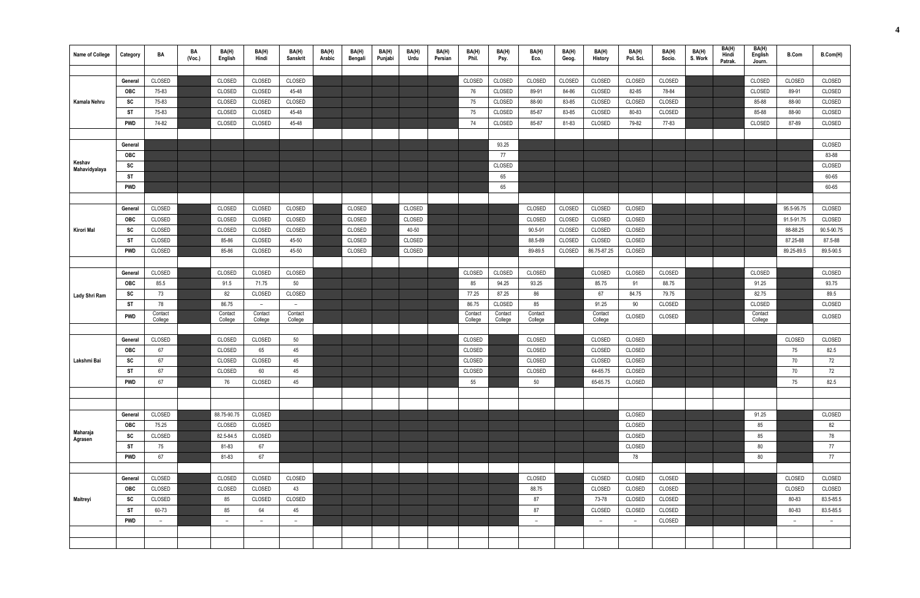| <b>Name of College</b>  | Category   | BA                       | BA<br>(Voc.) | BA(H)<br>English   | BA(H)<br>Hindi           | BA(H)<br>Sanskrit        | BA(H)<br>Arabic | BA(H)<br>Bengali | BA(H)<br>Punjabi | BA(H)<br>Urdu | BA(H)<br>Persian | BA(H)<br>Phil.     | BA(H)<br>Psy.      | BA(H)<br>Eco.      | BA(H)<br>Geog. | BA(H)<br><b>History</b> | BA(H)<br>Pol. Sci. | BA(H)<br>Socio. | BA(H)<br>S. Work | BA(H)<br>Hindi<br>Patrak. | BA(H)<br>English<br>Journ. | <b>B.Com</b> | B.Com(H)   |
|-------------------------|------------|--------------------------|--------------|--------------------|--------------------------|--------------------------|-----------------|------------------|------------------|---------------|------------------|--------------------|--------------------|--------------------|----------------|-------------------------|--------------------|-----------------|------------------|---------------------------|----------------------------|--------------|------------|
|                         |            |                          |              |                    |                          |                          |                 |                  |                  |               |                  |                    |                    |                    |                |                         |                    |                 |                  |                           |                            |              |            |
|                         | General    | CLOSED                   |              | CLOSED             | CLOSED                   | CLOSED                   |                 |                  |                  |               |                  | CLOSED             | CLOSED             | CLOSED             | CLOSED         | CLOSED                  | CLOSED             | CLOSED          |                  |                           | CLOSED                     | CLOSED       | CLOSED     |
|                         | <b>OBC</b> | 75-83                    |              | CLOSED             | CLOSED                   | 45-48                    |                 |                  |                  |               |                  | 76                 | CLOSED             | 89-91              | 84-86          | CLOSED                  | 82-85              | 78-84           |                  |                           | CLOSED                     | 89-91        | CLOSED     |
| Kamala Nehru            | SC         | 75-83                    |              | CLOSED             | CLOSED                   | CLOSED                   |                 |                  |                  |               |                  | 75                 | CLOSED             | 88-90              | 83-85          | CLOSED                  | CLOSED             | CLOSED          |                  |                           | 85-88                      | 88-90        | CLOSED     |
|                         | ST         | 75-83                    |              | CLOSED             | CLOSED                   | 45-48                    |                 |                  |                  |               |                  | 75                 | CLOSED             | 85-87              | 83-85          | CLOSED                  | 80-83              | CLOSED          |                  |                           | 85-88                      | 88-90        | CLOSED     |
|                         | <b>PWD</b> | 74-82                    |              | CLOSED             | CLOSED                   | 45-48                    |                 |                  |                  |               |                  | 74                 | CLOSED             | 85-87              | 81-83          | CLOSED                  | 79-82              | 77-83           |                  |                           | CLOSED                     | 87-89        | CLOSED     |
|                         |            |                          |              |                    |                          |                          |                 |                  |                  |               |                  |                    |                    |                    |                |                         |                    |                 |                  |                           |                            |              |            |
|                         | General    |                          |              |                    |                          |                          |                 |                  |                  |               |                  |                    | 93.25              |                    |                |                         |                    |                 |                  |                           |                            |              | CLOSED     |
|                         | OBC        |                          |              |                    |                          |                          |                 |                  |                  |               |                  |                    | 77                 |                    |                |                         |                    |                 |                  |                           |                            |              | 83-88      |
| Keshav<br>Mahavidyalaya | SC         |                          |              |                    |                          |                          |                 |                  |                  |               |                  |                    | CLOSED             |                    |                |                         |                    |                 |                  |                           |                            |              | CLOSED     |
|                         | <b>ST</b>  |                          |              |                    |                          |                          |                 |                  |                  |               |                  |                    | 65                 |                    |                |                         |                    |                 |                  |                           |                            |              | 60-65      |
|                         | <b>PWD</b> |                          |              |                    |                          |                          |                 |                  |                  |               |                  |                    | 65                 |                    |                |                         |                    |                 |                  |                           |                            |              | 60-65      |
|                         |            |                          |              |                    |                          |                          |                 |                  |                  |               |                  |                    |                    |                    |                |                         |                    |                 |                  |                           |                            |              |            |
|                         | General    | CLOSED                   |              | CLOSED             | CLOSED                   | CLOSED                   |                 | CLOSED           |                  | CLOSED        |                  |                    |                    | CLOSED             | CLOSED         | CLOSED                  | CLOSED             |                 |                  |                           |                            | 95.5-95.75   | CLOSED     |
|                         | <b>OBC</b> | CLOSED                   |              | CLOSED             | CLOSED                   | CLOSED                   |                 | CLOSED           |                  | CLOSED        |                  |                    |                    | CLOSED             | CLOSED         | CLOSED                  | CLOSED             |                 |                  |                           |                            | 91.5-91.75   | CLOSED     |
| Kirori Mal              | SC         | CLOSED                   |              | CLOSED             | CLOSED                   | CLOSED                   |                 | CLOSED           |                  | 40-50         |                  |                    |                    | 90.5-91            | CLOSED         | CLOSED                  | CLOSED             |                 |                  |                           |                            | 88-88.25     | 90.5-90.75 |
|                         | <b>ST</b>  | CLOSED                   |              | 85-86              | CLOSED                   | 45-50                    |                 | CLOSED           |                  | CLOSED        |                  |                    |                    | 88.5-89            | CLOSED         | CLOSED                  | CLOSED             |                 |                  |                           |                            | 87.25-88     | 87.5-88    |
|                         | <b>PWD</b> | CLOSED                   |              | 85-86              | CLOSED                   | 45-50                    |                 | CLOSED           |                  | CLOSED        |                  |                    |                    | 89-89.5            | CLOSED         | 86.75-87.25             | CLOSED             |                 |                  |                           |                            | 89.25-89.5   | 89.5-90.5  |
|                         |            |                          |              |                    |                          |                          |                 |                  |                  |               |                  |                    |                    |                    |                |                         |                    |                 |                  |                           |                            |              |            |
|                         | General    | CLOSED                   |              | CLOSED             | CLOSED                   | CLOSED                   |                 |                  |                  |               |                  | CLOSED             | CLOSED             | CLOSED             |                | CLOSED                  | CLOSED             | CLOSED          |                  |                           | CLOSED                     |              | CLOSED     |
|                         | <b>OBC</b> | 85.5                     |              | 91.5               | 71.75                    | 50                       |                 |                  |                  |               |                  | 85                 | 94.25              | 93.25              |                | 85.75                   | 91                 | 88.75           |                  |                           | 91.25                      |              | 93.75      |
| Lady Shri Ram           | SC         | 73                       |              | 82                 | CLOSED                   | CLOSED                   |                 |                  |                  |               |                  | 77.25              | 87.25              | 86                 |                | 67                      | 84.75              | 79.75           |                  |                           | 82.75                      |              | 89.5       |
|                         | ST         | 78                       |              | 86.75              | $ \,$                    | $-$                      |                 |                  |                  |               |                  | 86.75              | CLOSED             | 85                 |                | 91.25                   | 90                 | CLOSED          |                  |                           | CLOSED                     |              | CLOSED     |
|                         | <b>PWD</b> | Contact<br>College       |              | Contact<br>College | Contact<br>College       | Contact<br>College       |                 |                  |                  |               |                  | Contact<br>College | Contact<br>College | Contact<br>College |                | Contact<br>College      | CLOSED             | CLOSED          |                  |                           | Contact<br>College         |              | CLOSED     |
|                         |            |                          |              |                    |                          |                          |                 |                  |                  |               |                  |                    |                    |                    |                |                         |                    |                 |                  |                           |                            |              |            |
|                         | General    | CLOSED                   |              | CLOSED             | CLOSED                   | 50                       |                 |                  |                  |               |                  | CLOSED             |                    | CLOSED             |                | CLOSED                  | CLOSED             |                 |                  |                           |                            | CLOSED       | CLOSED     |
|                         | <b>OBC</b> | 67                       |              | CLOSED             | 65                       | 45                       |                 |                  |                  |               |                  | CLOSED             |                    | CLOSED             |                | CLOSED                  | CLOSED             |                 |                  |                           |                            | 75           | 82.5       |
| Lakshmi Bai             | SC.<br>vv. | 67                       |              | CLOSED             | CLOSED                   | 45                       |                 |                  |                  |               |                  | CLOSED             |                    | CLOSED             |                | CLOSED                  | CLOSED             |                 |                  |                           |                            | 70           | 72         |
|                         | ST         | 67                       |              | CLOSED             | 60                       | 45                       |                 |                  |                  |               |                  | CLOSED             |                    | CLOSED             |                | 64-65.75                | CLOSED             |                 |                  |                           |                            | 70           | 72         |
|                         | <b>PWD</b> | 67                       |              | 76                 | CLOSED                   | 45                       |                 |                  |                  |               |                  | 55                 |                    | 50                 |                | 65-65.75                | CLOSED             |                 |                  |                           |                            | 75           | 82.5       |
|                         |            |                          |              |                    |                          |                          |                 |                  |                  |               |                  |                    |                    |                    |                |                         |                    |                 |                  |                           |                            |              |            |
|                         |            |                          |              |                    |                          |                          |                 |                  |                  |               |                  |                    |                    |                    |                |                         |                    |                 |                  |                           |                            |              |            |
|                         | General    | CLOSED                   |              | 88.75-90.75        | CLOSED                   |                          |                 |                  |                  |               |                  |                    |                    |                    |                |                         | CLOSED             |                 |                  |                           | 91.25                      |              | CLOSED     |
|                         | <b>OBC</b> | 75.25                    |              | CLOSED             | CLOSED                   |                          |                 |                  |                  |               |                  |                    |                    |                    |                |                         | CLOSED             |                 |                  |                           | 85                         |              | 82         |
| Maharaja<br>Agrasen     | SC         | CLOSED                   |              | 82.5-84.5          | CLOSED                   |                          |                 |                  |                  |               |                  |                    |                    |                    |                |                         | CLOSED             |                 |                  |                           | 85                         |              | 78         |
|                         | ST         | 75                       |              | 81-83              | 67                       |                          |                 |                  |                  |               |                  |                    |                    |                    |                |                         | CLOSED             |                 |                  |                           | 80                         |              | 77         |
|                         | <b>PWD</b> | 67                       |              | 81-83              | 67                       |                          |                 |                  |                  |               |                  |                    |                    |                    |                |                         | 78                 |                 |                  |                           | 80                         |              | 77         |
|                         |            |                          |              |                    |                          |                          |                 |                  |                  |               |                  |                    |                    |                    |                |                         |                    |                 |                  |                           |                            |              |            |
|                         | General    | CLOSED                   |              | CLOSED             | CLOSED                   | CLOSED                   |                 |                  |                  |               |                  |                    |                    | CLOSED             |                | CLOSED                  | CLOSED             | CLOSED          |                  |                           |                            | CLOSED       | CLOSED     |
|                         | <b>OBC</b> | CLOSED                   |              | CLOSED             | CLOSED                   | 43                       |                 |                  |                  |               |                  |                    |                    | 88.75              |                | CLOSED                  | CLOSED             | CLOSED          |                  |                           |                            | CLOSED       | CLOSED     |
| Maitreyi                | SC         | CLOSED                   |              | 85                 | CLOSED                   | CLOSED                   |                 |                  |                  |               |                  |                    |                    | 87                 |                | 73-78                   | CLOSED             | CLOSED          |                  |                           |                            | 80-83        | 83.5-85.5  |
|                         | <b>ST</b>  | 60-73                    |              | 85                 | 64                       | 45                       |                 |                  |                  |               |                  |                    |                    | 87                 |                | CLOSED                  | CLOSED             | CLOSED          |                  |                           |                            | 80-83        | 83.5-85.5  |
|                         | <b>PWD</b> | $\overline{\phantom{0}}$ |              | $\overline{a}$     | $\overline{\phantom{a}}$ | $\overline{\phantom{a}}$ |                 |                  |                  |               |                  |                    |                    | $ \,$              |                | $\sim$                  | $\sim$             | CLOSED          |                  |                           |                            | $-$          | $\sim$     |
|                         |            |                          |              |                    |                          |                          |                 |                  |                  |               |                  |                    |                    |                    |                |                         |                    |                 |                  |                           |                            |              |            |
|                         |            |                          |              |                    |                          |                          |                 |                  |                  |               |                  |                    |                    |                    |                |                         |                    |                 |                  |                           |                            |              |            |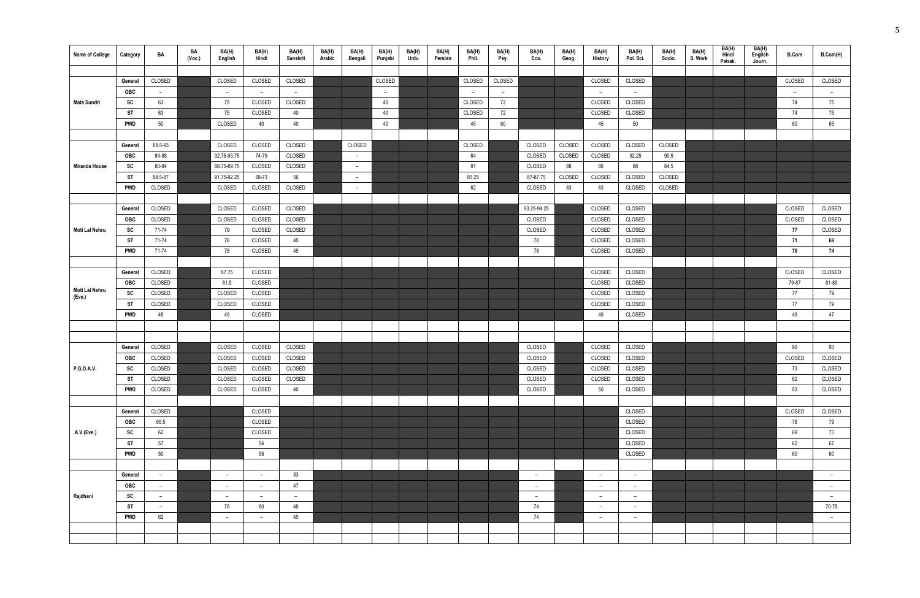| <b>Name of College</b> | Category              | BA                       | BA<br>(Voc.) | BA(H)<br>English | BA(H)<br>Hindi           | BA(H)<br><b>Sanskrit</b> | BA(H)<br>Arabic | BA(H)<br>Bengali         | BA(H)<br>Punjabi | BA(H)<br>Urdu | BA(H)<br>Persian | BA(H)<br>Phil. | BA(H)<br>Psy.  | BA(H)<br>Eco. | BA(H)<br>Geog. | BA(H)<br><b>History</b>  | BA(H)<br>Pol. Sci. | BA(H)<br>Socio. | BA(H)<br>S. Work | BA(H)<br>Hindi<br>Patrak. | BA(H)<br>English<br>Journ. | <b>B.Com</b> | B.Com(H)                 |
|------------------------|-----------------------|--------------------------|--------------|------------------|--------------------------|--------------------------|-----------------|--------------------------|------------------|---------------|------------------|----------------|----------------|---------------|----------------|--------------------------|--------------------|-----------------|------------------|---------------------------|----------------------------|--------------|--------------------------|
|                        |                       |                          |              |                  |                          |                          |                 |                          |                  |               |                  |                |                |               |                |                          |                    |                 |                  |                           |                            |              |                          |
|                        | General               | CLOSED                   |              | CLOSED           | CLOSED                   | CLOSED                   |                 |                          | CLOSED           |               |                  | CLOSED         | CLOSED         |               |                | CLOSED                   | CLOSED             |                 |                  |                           |                            | CLOSED       | CLOSED                   |
|                        | OBC                   | $\overline{\phantom{0}}$ |              | $\overline{a}$   | $\overline{a}$           | $-$                      |                 |                          | $-$              |               |                  | $\sim$         | $\overline{a}$ |               |                | $ \,$                    | $\sim$             |                 |                  |                           |                            | $ \,$        | $ \,$                    |
| Mata Sundri            | SC                    | 63                       |              | 75               | CLOSED                   | CLOSED                   |                 |                          | 40               |               |                  | CLOSED         | 72             |               |                | CLOSED                   | CLOSED             |                 |                  |                           |                            | 74           | 75                       |
|                        | ST                    | 63                       |              | 75               | CLOSED                   | 40                       |                 |                          | 40               |               |                  | CLOSED         | 72             |               |                | CLOSED                   | CLOSED             |                 |                  |                           |                            | 74           | 75                       |
|                        | PWD                   | 50                       |              | CLOSED           | 40                       | 40                       |                 |                          | 40               |               |                  | 45             | 60             |               |                | 45                       | 50                 |                 |                  |                           |                            | 60           | 65                       |
|                        |                       |                          |              |                  |                          |                          |                 |                          |                  |               |                  |                |                |               |                |                          |                    |                 |                  |                           |                            |              |                          |
|                        | General               | 89.5-93                  |              | CLOSED           | CLOSED                   | CLOSED                   |                 | CLOSED                   |                  |               |                  | CLOSED         |                | CLOSED        | CLOSED         | CLOSED                   | CLOSED             | CLOSED          |                  |                           |                            |              |                          |
|                        | OBC                   | 84-88                    |              | 92.75-93.75      | 74-79                    | CLOSED                   |                 | $ \,$                    |                  |               |                  | 84             |                | CLOSED        | CLOSED         | CLOSED                   | 92.25              | 90.5            |                  |                           |                            |              |                          |
| <b>Miranda House</b>   | SC                    | 80-84                    |              | 88.75-89.75      | CLOSED                   | CLOSED                   |                 | $\overline{\phantom{0}}$ |                  |               |                  | 81             |                | CLOSED        | 88             | 86                       | 88                 | 84.5            |                  |                           |                            |              |                          |
|                        | ST                    | 84.5-87                  |              | 91.75-92.25      | 68-73                    | 56                       |                 | $ \,$                    |                  |               |                  | 85.25          |                | 87-87.75      | CLOSED         | CLOSED                   | CLOSED             | CLOSED          |                  |                           |                            |              |                          |
|                        | PWD                   | CLOSED                   |              | CLOSED           | CLOSED                   | CLOSED                   |                 | $\overline{\phantom{0}}$ |                  |               |                  | 82             |                | CLOSED        | 83             | 83                       | CLOSED             | CLOSED          |                  |                           |                            |              |                          |
|                        |                       | CLOSED                   |              | CLOSED           | CLOSED                   | CLOSED                   |                 |                          |                  |               |                  |                |                | 93.25-94.25   |                | CLOSED                   | CLOSED             |                 |                  |                           |                            | CLOSED       | CLOSED                   |
|                        | General<br><b>OBC</b> | CLOSED                   |              | CLOSED           | CLOSED                   |                          |                 |                          |                  |               |                  |                |                | CLOSED        |                | CLOSED                   | CLOSED             |                 |                  |                           |                            |              | CLOSED                   |
| Moti Lal Nehru         | SC                    | 71-74                    |              | 79               | CLOSED                   | CLOSED<br>CLOSED         |                 |                          |                  |               |                  |                |                | CLOSED        |                | CLOSED                   | CLOSED             |                 |                  |                           |                            | CLOSED<br>77 | CLOSED                   |
|                        | <b>ST</b>             | 71-74                    |              | 76               | CLOSED                   | 45                       |                 |                          |                  |               |                  |                |                | 78            |                | CLOSED                   | CLOSED             |                 |                  |                           |                            | 71           | 69                       |
|                        | <b>PWD</b>            | 71-74                    |              | 78               | CLOSED                   | 45                       |                 |                          |                  |               |                  |                |                | 78            |                | CLOSED                   | CLOSED             |                 |                  |                           |                            | 70           | 74                       |
|                        |                       |                          |              |                  |                          |                          |                 |                          |                  |               |                  |                |                |               |                |                          |                    |                 |                  |                           |                            |              |                          |
|                        | General               | CLOSED                   |              | 87.75            | CLOSED                   |                          |                 |                          |                  |               |                  |                |                |               |                | CLOSED                   | CLOSED             |                 |                  |                           |                            | CLOSED       | CLOSED                   |
|                        | OBC                   | CLOSED                   |              | 81.5             | CLOSED                   |                          |                 |                          |                  |               |                  |                |                |               |                | CLOSED                   | CLOSED             |                 |                  |                           |                            | 79-87        | 81-89                    |
| Moti Lal Nehru         | SC                    | CLOSED                   |              | CLOSED           | CLOSED                   |                          |                 |                          |                  |               |                  |                |                |               |                | CLOSED                   | CLOSED             |                 |                  |                           |                            | 77           | 79                       |
| (Eve.)                 | <b>ST</b>             | CLOSED                   |              | CLOSED           | CLOSED                   |                          |                 |                          |                  |               |                  |                |                |               |                | CLOSED                   | CLOSED             |                 |                  |                           |                            | 77           | 79                       |
|                        | <b>PWD</b>            | 48                       |              | 49               | CLOSED                   |                          |                 |                          |                  |               |                  |                |                |               |                | 49                       | CLOSED             |                 |                  |                           |                            | 49           | 47                       |
|                        |                       |                          |              |                  |                          |                          |                 |                          |                  |               |                  |                |                |               |                |                          |                    |                 |                  |                           |                            |              |                          |
|                        |                       |                          |              |                  |                          |                          |                 |                          |                  |               |                  |                |                |               |                |                          |                    |                 |                  |                           |                            |              |                          |
|                        | General               | CLOSED                   |              | CLOSED           | CLOSED                   | CLOSED                   |                 |                          |                  |               |                  |                |                | CLOSED        |                | CLOSED                   | CLOSED             |                 |                  |                           |                            | 90           | 93                       |
|                        | OBC                   | CLOSED                   |              | CLOSED           | CLOSED                   | CLOSED                   |                 |                          |                  |               |                  |                |                | CLOSED        |                | CLOSED                   | CLOSED             |                 |                  |                           |                            | CLOSED       | CLOSED                   |
| P.G.D.A.V.             | SC                    | CLOSED                   |              | CLOSED           | CLOSED                   | CLOSED                   |                 |                          |                  |               |                  |                |                | CLOSED        |                | CLOSED                   | CLOSED             |                 |                  |                           |                            | 73           | CLOSED                   |
|                        | <b>ST</b>             | CLOSED                   |              | CLOSED           | CLOSED                   | CLOSED                   |                 |                          |                  |               |                  |                |                | CLOSED        |                | CLOSED                   | CLOSED             |                 |                  |                           |                            | 62           | CLOSED                   |
|                        | PWD                   | CLOSED                   |              | CLOSED           | CLOSED                   | 40                       |                 |                          |                  |               |                  |                |                | CLOSED        |                | 50                       | CLOSED             |                 |                  |                           |                            | 53           | CLOSED                   |
|                        |                       |                          |              |                  |                          |                          |                 |                          |                  |               |                  |                |                |               |                |                          |                    |                 |                  |                           |                            |              |                          |
|                        | General               | CLOSED                   |              |                  | CLOSED                   |                          |                 |                          |                  |               |                  |                |                |               |                |                          | CLOSED             |                 |                  |                           |                            | CLOSED       | CLOSED                   |
|                        | <b>OBC</b>            | 65.5                     |              |                  | CLOSED                   |                          |                 |                          |                  |               |                  |                |                |               |                |                          | CLOSED             |                 |                  |                           |                            | 78           | 79                       |
| .A.V.(Eve.)            | SC                    | 62                       |              |                  | CLOSED                   |                          |                 |                          |                  |               |                  |                |                |               |                |                          | CLOSED             |                 |                  |                           |                            | 69           | 73                       |
|                        | ST                    | 57                       |              |                  | 54                       |                          |                 |                          |                  |               |                  |                |                |               |                |                          | CLOSED             |                 |                  |                           |                            | 62           | 67                       |
|                        | PWD                   | 50                       |              |                  | 55                       |                          |                 |                          |                  |               |                  |                |                |               |                |                          | CLOSED             |                 |                  |                           |                            | 60           | 60                       |
|                        |                       |                          |              |                  |                          |                          |                 |                          |                  |               |                  |                |                |               |                |                          |                    |                 |                  |                           |                            |              |                          |
|                        | General               | $ \,$                    |              | $-$              | $\overline{\phantom{m}}$ | 53                       |                 |                          |                  |               |                  |                |                | $ \,$         |                | $\sim$                   | $-$                |                 |                  |                           |                            |              | $-$                      |
|                        | <b>OBC</b>            | $ \,$                    |              | $ \,$            | $\overline{\phantom{m}}$ | 47                       |                 |                          |                  |               |                  |                |                | $-$           |                | $-$                      | $-$                |                 |                  |                           |                            |              | $-$                      |
| Rajdhani               | SC                    | $\sim$                   |              | $-$              | $\overline{\phantom{m}}$ | $-$                      |                 |                          |                  |               |                  |                |                | $ \,$         |                | $\sim$                   | $-$                |                 |                  |                           |                            |              | $\overline{\phantom{m}}$ |
|                        | <b>ST</b>             | $\overline{\phantom{0}}$ |              | 75               | 60                       | 45                       |                 |                          |                  |               |                  |                |                | 74            |                | $-$                      | $-$                |                 |                  |                           |                            |              | 70-75                    |
|                        | <b>PWD</b>            | 62                       |              | $ \,$            | $-$                      | 45                       |                 |                          |                  |               |                  |                |                | 74            |                | $\overline{\phantom{0}}$ | $-$                |                 |                  |                           |                            |              | $ \,$                    |
|                        |                       |                          |              |                  |                          |                          |                 |                          |                  |               |                  |                |                |               |                |                          |                    |                 |                  |                           |                            |              |                          |
|                        |                       |                          |              |                  |                          |                          |                 |                          |                  |               |                  |                |                |               |                |                          |                    |                 |                  |                           |                            |              |                          |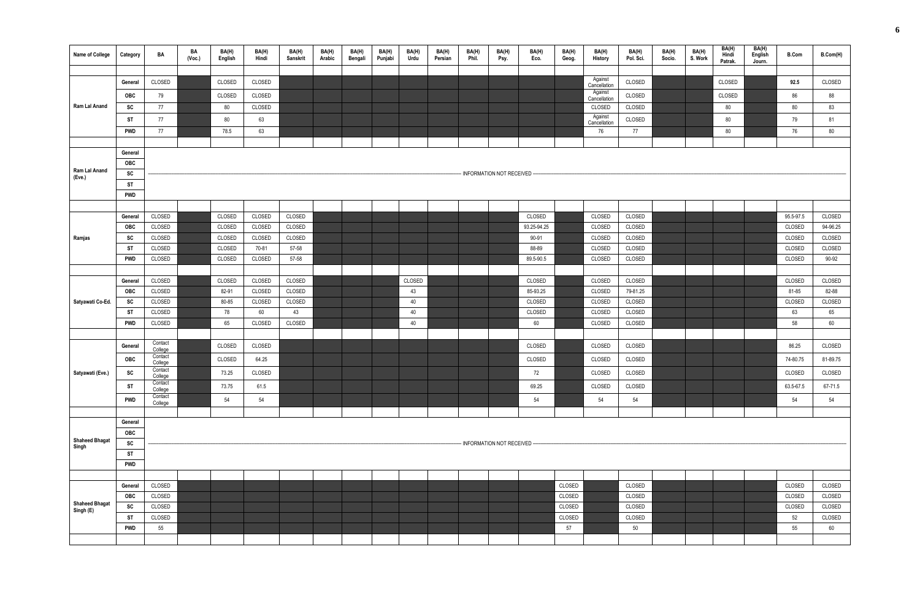| <b>Name of College</b>      | Category                | BA                 | BA<br>(Vec.) | BA(H)<br>English | BA(H)<br>Hindi | BA(H)<br>Sanskrit | BA(H)<br>Arabic | BA(H)<br>Bengali | BA(H)<br>Punjabi | BA(H)<br>Urdu | BA(H)<br>Persian | BA(H)<br>Phil. | BA(H)<br>Psy.                | BA(H)<br>Eco.    | BA(H)<br>Geog. | BA(H)<br>History        | BA(H)<br>Pol. Sci. | BA(H)<br>Socio. | BA(H)<br>S. Work | BA(H)<br>Hindi<br>Patrak. | BA(H)<br>English<br>Journ. | <b>B.Com</b> | B.Com(H)     |
|-----------------------------|-------------------------|--------------------|--------------|------------------|----------------|-------------------|-----------------|------------------|------------------|---------------|------------------|----------------|------------------------------|------------------|----------------|-------------------------|--------------------|-----------------|------------------|---------------------------|----------------------------|--------------|--------------|
|                             |                         |                    |              |                  |                |                   |                 |                  |                  |               |                  |                |                              |                  |                | Against                 |                    |                 |                  |                           |                            |              |              |
|                             | General                 | CLOSED             |              | CLOSED           | CLOSED         |                   |                 |                  |                  |               |                  |                |                              |                  |                | Cancellation            | CLOSED             |                 |                  | CLOSED                    |                            | 92.5         | CLOSED       |
|                             | <b>OBC</b>              | 79                 |              | CLOSED           | CLOSED         |                   |                 |                  |                  |               |                  |                |                              |                  |                | Against<br>Cancellation | CLOSED             |                 |                  | CLOSED                    |                            | 86           | 88           |
| Ram Lal Anand               | SC                      | 77                 |              | 80               | CLOSED         |                   |                 |                  |                  |               |                  |                |                              |                  |                | CLOSED                  | CLOSED             |                 |                  | 80                        |                            | 80           | 83           |
|                             | ST                      | 77                 |              | 80               | 63             |                   |                 |                  |                  |               |                  |                |                              |                  |                | Against<br>Cancellation | CLOSED             |                 |                  | 80                        |                            | 79           | 81           |
|                             | <b>PWD</b>              | 77                 |              | 78.5             | 63             |                   |                 |                  |                  |               |                  |                |                              |                  |                | 76                      | 77                 |                 |                  | 80                        |                            | 76           | 80           |
|                             |                         |                    |              |                  |                |                   |                 |                  |                  |               |                  |                |                              |                  |                |                         |                    |                 |                  |                           |                            |              |              |
|                             | General                 |                    |              |                  |                |                   |                 |                  |                  |               |                  |                |                              |                  |                |                         |                    |                 |                  |                           |                            |              |              |
| Ram Lal Anand               | <b>OBC</b><br>SC        |                    |              |                  |                |                   |                 |                  |                  |               |                  |                | - INFORMATION NOT RECEIVED - |                  |                |                         |                    |                 |                  |                           |                            |              |              |
| (Eve.)                      | <b>ST</b>               |                    |              |                  |                |                   |                 |                  |                  |               |                  |                |                              |                  |                |                         |                    |                 |                  |                           |                            |              |              |
|                             | <b>PWD</b>              |                    |              |                  |                |                   |                 |                  |                  |               |                  |                |                              |                  |                |                         |                    |                 |                  |                           |                            |              |              |
|                             |                         |                    |              |                  |                |                   |                 |                  |                  |               |                  |                |                              |                  |                |                         |                    |                 |                  |                           |                            |              |              |
|                             | General                 | CLOSED             |              | CLOSED           | CLOSED         | CLOSED            |                 |                  |                  |               |                  |                |                              | CLOSED           |                | CLOSED                  | CLOSED             |                 |                  |                           |                            | 95.5-97.5    | CLOSED       |
|                             | <b>OBC</b>              | CLOSED             |              | CLOSED           | CLOSED         | CLOSED            |                 |                  |                  |               |                  |                |                              | 93.25-94.25      |                | CLOSED                  | CLOSED             |                 |                  |                           |                            | CLOSED       | 94-96.25     |
| Ramjas                      | SC                      | CLOSED             |              | CLOSED           | CLOSED         | CLOSED            |                 |                  |                  |               |                  |                |                              | 90-91            |                | CLOSED                  | CLOSED             |                 |                  |                           |                            | CLOSED       | CLOSED       |
|                             | <b>ST</b>               | CLOSED             |              | CLOSED           | 70-81          | 57-58             |                 |                  |                  |               |                  |                |                              | 88-89            |                | CLOSED                  | CLOSED             |                 |                  |                           |                            | CLOSED       | CLOSED       |
|                             | <b>PWD</b>              | CLOSED             |              | CLOSED           | CLOSED         | 57-58             |                 |                  |                  |               |                  |                |                              | 89.5-90.5        |                | CLOSED                  | CLOSED             |                 |                  |                           |                            | CLOSED       | 90-92        |
|                             |                         |                    |              |                  |                |                   |                 |                  |                  |               |                  |                |                              |                  |                |                         |                    |                 |                  |                           |                            |              |              |
|                             | General                 | CLOSED             |              | CLOSED           | CLOSED         | CLOSED            |                 |                  |                  | CLOSED        |                  |                |                              | CLOSED           |                | CLOSED                  | CLOSED             |                 |                  |                           |                            | CLOSED       | CLOSED       |
| Satyawati Co-Ed.            | <b>OBC</b>              | CLOSED             |              | 82-91            | CLOSED         | CLOSED            |                 |                  |                  | 43<br>40      |                  |                |                              | 85-93.25         |                | CLOSED                  | 79-81.25           |                 |                  |                           |                            | 81-85        | 82-88        |
|                             | SC<br><b>ST</b>         | CLOSED<br>CLOSED   |              | 80-85<br>78      | CLOSED<br>60   | CLOSED<br>43      |                 |                  |                  | 40            |                  |                |                              | CLOSED<br>CLOSED |                | CLOSED<br>CLOSED        | CLOSED<br>CLOSED   |                 |                  |                           |                            | CLOSED<br>63 | CLOSED<br>65 |
|                             | <b>PWD</b>              | CLOSED             |              | 65               | CLOSED         | CLOSED            |                 |                  |                  | 40            |                  |                |                              | 60               |                | CLOSED                  | CLOSED             |                 |                  |                           |                            | 58           | 60           |
|                             |                         |                    |              |                  |                |                   |                 |                  |                  |               |                  |                |                              |                  |                |                         |                    |                 |                  |                           |                            |              |              |
|                             | General                 | Contact            |              | CLOSED           | CLOSED         |                   |                 |                  |                  |               |                  |                |                              | CLOSED           |                | CLOSED                  | CLOSED             |                 |                  |                           |                            | 86.25        | CLOSED       |
|                             | OBC                     | College<br>Contact |              | CLOSED           | 64.25          |                   |                 |                  |                  |               |                  |                |                              | CLOSED           |                | CLOSED                  | CLOSED             |                 |                  |                           |                            | 74-80.75     | 81-89.75     |
|                             |                         | College<br>Contact |              |                  |                |                   |                 |                  |                  |               |                  |                |                              |                  |                |                         |                    |                 |                  |                           |                            |              |              |
| Satyawati (Eve.)            | SC                      | College<br>Contact |              | 73.25            | CLOSED         |                   |                 |                  |                  |               |                  |                |                              | 72               |                | CLOSED                  | CLOSED             |                 |                  |                           |                            | CLOSED       | CLOSED       |
|                             | <b>ST</b>               | College            |              | 73.75            | 61.5           |                   |                 |                  |                  |               |                  |                |                              | 69.25            |                | CLOSED                  | CLOSED             |                 |                  |                           |                            | 63.5-67.5    | 67-71.5      |
|                             | <b>PWD</b>              | Contact<br>College |              | 54               | 54             |                   |                 |                  |                  |               |                  |                |                              | 54               |                | 54                      | 54                 |                 |                  |                           |                            | 54           | 54           |
|                             |                         |                    |              |                  |                |                   |                 |                  |                  |               |                  |                |                              |                  |                |                         |                    |                 |                  |                           |                            |              |              |
|                             | General                 |                    |              |                  |                |                   |                 |                  |                  |               |                  |                |                              |                  |                |                         |                    |                 |                  |                           |                            |              |              |
| <b>Shaheed Bhagat</b>       | OBC                     |                    |              |                  |                |                   |                 |                  |                  |               |                  |                |                              |                  |                |                         |                    |                 |                  |                           |                            |              |              |
| Singh                       | SC                      |                    |              |                  |                |                   |                 |                  |                  |               |                  |                | - INFORMATION NOT RECEIVED   |                  |                |                         |                    |                 |                  |                           |                            |              |              |
|                             | <b>ST</b><br><b>PWD</b> |                    |              |                  |                |                   |                 |                  |                  |               |                  |                |                              |                  |                |                         |                    |                 |                  |                           |                            |              |              |
|                             |                         |                    |              |                  |                |                   |                 |                  |                  |               |                  |                |                              |                  |                |                         |                    |                 |                  |                           |                            |              |              |
|                             | General                 | CLOSED             |              |                  |                |                   |                 |                  |                  |               |                  |                |                              |                  | CLOSED         |                         | CLOSED             |                 |                  |                           |                            | CLOSED       | CLOSED       |
|                             | OBC                     | CLOSED             |              |                  |                |                   |                 |                  |                  |               |                  |                |                              |                  | CLOSED         |                         | CLOSED             |                 |                  |                           |                            | CLOSED       | CLOSED       |
| Shaheed Bhagat<br>Singh (E) | SC                      | CLOSED             |              |                  |                |                   |                 |                  |                  |               |                  |                |                              |                  | CLOSED         |                         | CLOSED             |                 |                  |                           |                            | CLOSED       | CLOSED       |
|                             | ST                      | CLOSED             |              |                  |                |                   |                 |                  |                  |               |                  |                |                              |                  | CLOSED         |                         | CLOSED             |                 |                  |                           |                            | 52           | CLOSED       |
|                             | <b>PWD</b>              | 55                 |              |                  |                |                   |                 |                  |                  |               |                  |                |                              |                  | 57             |                         | 50                 |                 |                  |                           |                            | 55           | 60           |
|                             |                         |                    |              |                  |                |                   |                 |                  |                  |               |                  |                |                              |                  |                |                         |                    |                 |                  |                           |                            |              |              |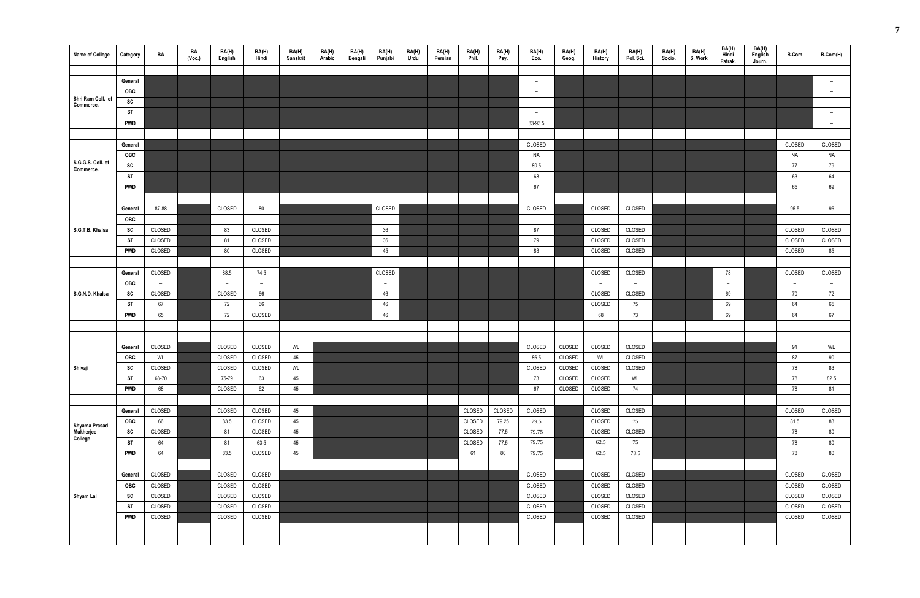| Name of College                       | Category   | BA     | BA<br>(Vec.) | BA(H)<br>English | BA(H)<br>Hindi | BA(H)<br>Sanskrit | BA(H)<br>Arabic | BA(H)<br>Bengali | BA(H)<br>Punjabi | BA(H)<br>Urdu | BA(H)<br>Persian | BA(H)<br>Phil. | BA(H)<br>Psy. | BA(H)<br>Eco.            | BA(H)<br>Geog. | BA(H)<br><b>History</b> | BA(H)<br>Pol. Sci. | BA(H)<br>Socio. | BA(H)<br>S. Work | BA(H)<br>Hindi<br>Patrak. | BA(H)<br>English<br>Journ. | <b>B.Com</b> | B.Com(H)                 |
|---------------------------------------|------------|--------|--------------|------------------|----------------|-------------------|-----------------|------------------|------------------|---------------|------------------|----------------|---------------|--------------------------|----------------|-------------------------|--------------------|-----------------|------------------|---------------------------|----------------------------|--------------|--------------------------|
|                                       |            |        |              |                  |                |                   |                 |                  |                  |               |                  |                |               |                          |                |                         |                    |                 |                  |                           |                            |              |                          |
|                                       | General    |        |              |                  |                |                   |                 |                  |                  |               |                  |                |               | $\overline{\phantom{a}}$ |                |                         |                    |                 |                  |                           |                            |              | $\overline{\phantom{a}}$ |
|                                       | OBC        |        |              |                  |                |                   |                 |                  |                  |               |                  |                |               | $ \,$                    |                |                         |                    |                 |                  |                           |                            |              | $-$                      |
| Shri Ram Coll. of<br>Commerce.        | SC         |        |              |                  |                |                   |                 |                  |                  |               |                  |                |               | $\overline{a}$           |                |                         |                    |                 |                  |                           |                            |              | $-$                      |
|                                       | <b>ST</b>  |        |              |                  |                |                   |                 |                  |                  |               |                  |                |               | $\overline{a}$           |                |                         |                    |                 |                  |                           |                            |              | $ \,$                    |
|                                       | <b>PWD</b> |        |              |                  |                |                   |                 |                  |                  |               |                  |                |               | 83-93.5                  |                |                         |                    |                 |                  |                           |                            |              | $-$                      |
|                                       |            |        |              |                  |                |                   |                 |                  |                  |               |                  |                |               |                          |                |                         |                    |                 |                  |                           |                            |              |                          |
|                                       | General    |        |              |                  |                |                   |                 |                  |                  |               |                  |                |               | CLOSED                   |                |                         |                    |                 |                  |                           |                            | CLOSED       | CLOSED                   |
|                                       | <b>OBC</b> |        |              |                  |                |                   |                 |                  |                  |               |                  |                |               | NA                       |                |                         |                    |                 |                  |                           |                            | NA           | Na                       |
| S.G.G.S. Coll. of<br>Commerce.        | SC         |        |              |                  |                |                   |                 |                  |                  |               |                  |                |               | 80.5                     |                |                         |                    |                 |                  |                           |                            | 77           | 79                       |
|                                       | <b>ST</b>  |        |              |                  |                |                   |                 |                  |                  |               |                  |                |               | 68                       |                |                         |                    |                 |                  |                           |                            | 63           | 64                       |
|                                       | <b>PWD</b> |        |              |                  |                |                   |                 |                  |                  |               |                  |                |               | 67                       |                |                         |                    |                 |                  |                           |                            | 65           | 69                       |
|                                       |            |        |              |                  |                |                   |                 |                  |                  |               |                  |                |               |                          |                |                         |                    |                 |                  |                           |                            |              |                          |
|                                       | General    | 87-88  |              | CLOSED           | 80             |                   |                 |                  | CLOSED           |               |                  |                |               | CLOSED                   |                | CLOSED                  | CLOSED             |                 |                  |                           |                            | 95.5         | 96                       |
|                                       | OBC        | $\sim$ |              | $\overline{a}$   | $ \,$          |                   |                 |                  | $ \,$            |               |                  |                |               | $\overline{a}$           |                | $-$                     | $-$                |                 |                  |                           |                            | $-$          | $ \,$                    |
| S.G.T.B. Khalsa                       | SC         | CLOSED |              | 83               | CLOSED         |                   |                 |                  | $36\,$           |               |                  |                |               | 87                       |                | CLOSED                  | CLOSED             |                 |                  |                           |                            | CLOSED       | CLOSED                   |
|                                       | ST         | CLOSED |              | 81               | CLOSED         |                   |                 |                  | 36               |               |                  |                |               | 79                       |                | CLOSED                  | CLOSED             |                 |                  |                           |                            | CLOSED       | CLOSED                   |
|                                       | <b>PWD</b> | CLOSED |              | 80               | CLOSED         |                   |                 |                  | 45               |               |                  |                |               | 83                       |                | CLOSED                  | CLOSED             |                 |                  |                           |                            | CLOSED       | 85                       |
|                                       |            |        |              |                  |                |                   |                 |                  |                  |               |                  |                |               |                          |                |                         |                    |                 |                  |                           |                            |              |                          |
|                                       | General    | CLOSED |              | 88.5             | 74.5           |                   |                 |                  | CLOSED           |               |                  |                |               |                          |                | CLOSED                  | CLOSED             |                 |                  | 78                        |                            | CLOSED       | CLOSED                   |
|                                       | <b>OBC</b> | $\sim$ |              | $\sim$           | $\sim$         |                   |                 |                  | $ \,$            |               |                  |                |               |                          |                | $\overline{a}$          | $\sim$             |                 |                  | $ \,$                     |                            | $-$          | $-$                      |
| S.G.N.D. Khalsa                       | SC         | CLOSED |              | CLOSED           | 66             |                   |                 |                  | 46               |               |                  |                |               |                          |                | CLOSED                  | CLOSED             |                 |                  | 69                        |                            | 70           | 72                       |
|                                       | <b>ST</b>  | 67     |              | 72               | 66             |                   |                 |                  | 46               |               |                  |                |               |                          |                | CLOSED                  | 75                 |                 |                  | 69                        |                            | 64           | 65                       |
|                                       | <b>PWD</b> | 65     |              | 72               | CLOSED         |                   |                 |                  | 46               |               |                  |                |               |                          |                | 68                      | 73                 |                 |                  | 69                        |                            | 64           | 67                       |
|                                       |            |        |              |                  |                |                   |                 |                  |                  |               |                  |                |               |                          |                |                         |                    |                 |                  |                           |                            |              |                          |
|                                       |            |        |              |                  |                |                   |                 |                  |                  |               |                  |                |               |                          |                |                         |                    |                 |                  |                           |                            |              |                          |
|                                       | General    | CLOSED |              | CLOSED           | CLOSED         | WL                |                 |                  |                  |               |                  |                |               | CLOSED                   | CLOSED         | CLOSED                  | CLOSED             |                 |                  |                           |                            | 91           | WL                       |
|                                       | <b>OBC</b> | WL     |              | CLOSED           | CLOSED         | 45                |                 |                  |                  |               |                  |                |               | 86.5                     | CLOSED         | WL                      | CLOSED             |                 |                  |                           |                            | 87           | 90                       |
| Shivaji                               | SC         | CLOSED |              | CLOSED           | CLOSED         | WL                |                 |                  |                  |               |                  |                |               | CLOSED                   | CLOSED         | CLOSED                  | CLOSED             |                 |                  |                           |                            | 78           | 83                       |
|                                       | <b>ST</b>  | 68-70  |              | 75-79            | 63             | 45                |                 |                  |                  |               |                  |                |               | 73                       | CLOSED         | CLOSED                  | WL                 |                 |                  |                           |                            | 78           | 82.5                     |
|                                       | <b>PWD</b> | 68     |              | CLOSED           | 62             | 45                |                 |                  |                  |               |                  |                |               | 67                       | CLOSED         | CLOSED                  | 74                 |                 |                  |                           |                            | 78           | 81                       |
|                                       |            |        |              |                  |                |                   |                 |                  |                  |               |                  |                |               |                          |                |                         |                    |                 |                  |                           |                            |              |                          |
|                                       | General    | CLOSED |              | CLOSED           | CLOSED         | 45                |                 |                  |                  |               |                  | CLOSED         | CLOSED        | CLOSED                   |                | CLOSED                  | CLOSED             |                 |                  |                           |                            | CLOSED       | CLOSED                   |
|                                       | <b>OBC</b> | 66     |              | 83.5             | CLOSED         | 45                |                 |                  |                  |               |                  | CLOSED         | 79.25         | 79.5                     |                | CLOSED                  | 75                 |                 |                  |                           |                            | 81.5         | 83                       |
| Shyama Prasad<br>Mukherjee<br>College | SC         | CLOSED |              | 81               | CLOSED         | 45                |                 |                  |                  |               |                  | CLOSED         | 77.5          | 79.75                    |                | CLOSED                  | CLOSED             |                 |                  |                           |                            | 78           | 80                       |
|                                       | <b>ST</b>  | 64     |              | 81               | 63.5           | 45                |                 |                  |                  |               |                  | CLOSED         | 77.5          | 79.75                    |                | 62.5                    | 75                 |                 |                  |                           |                            | 78           | 80                       |
|                                       | <b>PWD</b> | 64     |              | 83.5             | CLOSED         | 45                |                 |                  |                  |               |                  | 61             | 80            | 79.75                    |                | 62.5                    | 78.5               |                 |                  |                           |                            | 78           | 80                       |
|                                       |            |        |              |                  |                |                   |                 |                  |                  |               |                  |                |               |                          |                |                         |                    |                 |                  |                           |                            |              |                          |
|                                       | General    | CLOSED |              | CLOSED           | CLOSED         |                   |                 |                  |                  |               |                  |                |               | CLOSED                   |                | CLOSED                  | CLOSED             |                 |                  |                           |                            | CLOSED       | CLOSED                   |
|                                       | OBC        | CLOSED |              | CLOSED           | CLOSED         |                   |                 |                  |                  |               |                  |                |               | CLOSED                   |                | CLOSED                  | CLOSED             |                 |                  |                           |                            | CLOSED       | CLOSED                   |
| Shyam Lal                             | SC         | CLOSED |              | CLOSED           | CLOSED         |                   |                 |                  |                  |               |                  |                |               | CLOSED                   |                | CLOSED                  | CLOSED             |                 |                  |                           |                            | CLOSED       | CLOSED                   |
|                                       | <b>ST</b>  | CLOSED |              | CLOSED           | CLOSED         |                   |                 |                  |                  |               |                  |                |               | CLOSED                   |                | CLOSED                  | CLOSED             |                 |                  |                           |                            | CLOSED       | CLOSED                   |
|                                       | <b>PWD</b> | CLOSED |              | CLOSED           | CLOSED         |                   |                 |                  |                  |               |                  |                |               | CLOSED                   |                | CLOSED                  | CLOSED             |                 |                  |                           |                            | CLOSED       | CLOSED                   |
|                                       |            |        |              |                  |                |                   |                 |                  |                  |               |                  |                |               |                          |                |                         |                    |                 |                  |                           |                            |              |                          |
|                                       |            |        |              |                  |                |                   |                 |                  |                  |               |                  |                |               |                          |                |                         |                    |                 |                  |                           |                            |              |                          |